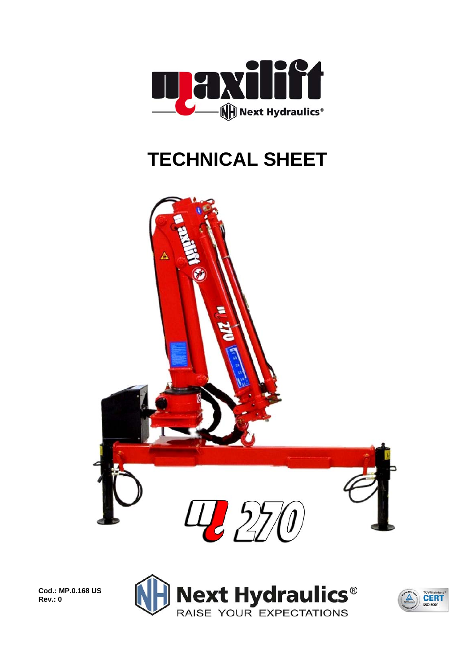

## **TECHNICAL SHEET**



**Cod.: MP.0.168 US Rev.: 0** 



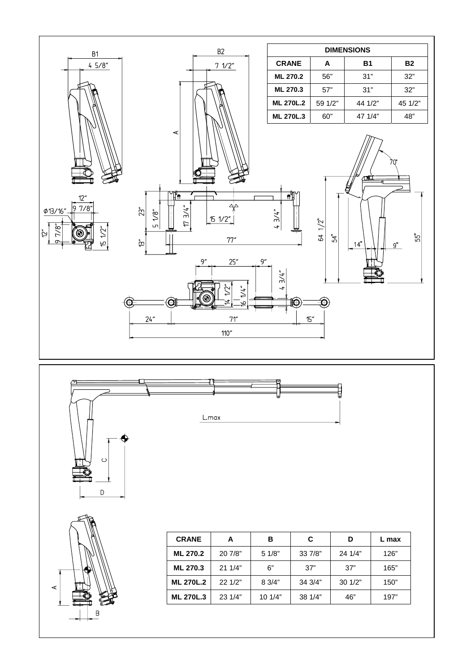





 $\circ$ 

 $\mathsf D$ 

| <b>CRANE</b>     |                    | в      | C.      | D       | max  |  |
|------------------|--------------------|--------|---------|---------|------|--|
| <b>ML 270.2</b>  | 20 7/8"            | 5 1/8" | 33 7/8" | 24 1/4" | 126" |  |
| <b>ML 270.3</b>  | 21 1/4"<br>6"      |        | 37"     | 37"     | 165" |  |
| <b>ML 270L.2</b> | 22 1/2"<br>8 3/4"  |        | 34 3/4" | 30 1/2" | 150" |  |
| <b>ML 270L.3</b> | 23 1/4"<br>10 1/4" |        | 38 1/4" | 46"     | 197" |  |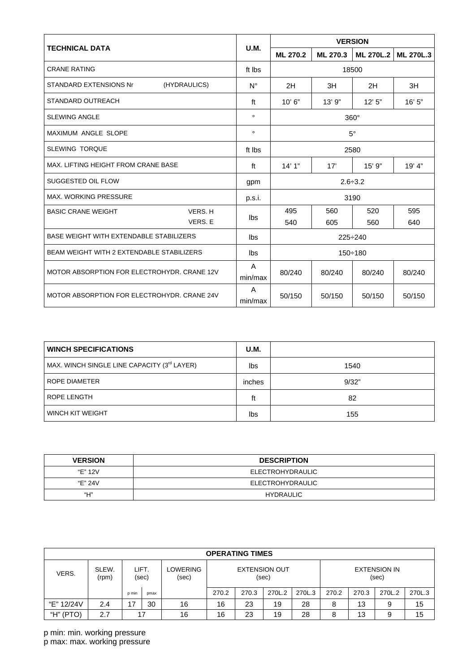|                                                |              | <b>VERSION</b>           |          |           |                  |  |  |
|------------------------------------------------|--------------|--------------------------|----------|-----------|------------------|--|--|
| <b>TECHNICAL DATA</b>                          | U.M.         | ML 270.2                 | ML 270.3 | ML 270L.2 | <b>ML 270L.3</b> |  |  |
| <b>CRANE RATING</b>                            | ft Ibs       |                          |          | 18500     |                  |  |  |
| (HYDRAULICS)<br>STANDARD EXTENSIONS Nr         | $N^{\circ}$  | 2H                       | 3H       | 2H        | 3H               |  |  |
| <b>STANDARD OUTREACH</b>                       | ft           | 10'6"                    | 13'9''   | 12'5''    | 16' 5"           |  |  |
| <b>SLEWING ANGLE</b>                           | $\circ$      | $360^\circ$<br>$5^\circ$ |          |           |                  |  |  |
| <b>MAXIMUM ANGLE SLOPE</b>                     | $\circ$      |                          |          |           |                  |  |  |
| <b>SLEWING TORQUE</b>                          | ft Ibs       |                          |          | 2580      |                  |  |  |
| MAX, LIFTING HEIGHT FROM CRANE BASE            | ft           | 14'1''                   | 17'      | $15'$ 9"  | 19' 4"           |  |  |
| SUGGESTED OIL FLOW                             | gpm          | $2.6 \div 3.2$           |          |           |                  |  |  |
| <b>MAX. WORKING PRESSURE</b>                   | p.s.i.       | 3190                     |          |           |                  |  |  |
| VERS. H<br><b>BASIC CRANE WEIGHT</b>           |              | 495                      | 560      | 520       | 595              |  |  |
| VERS. E                                        | lbs          | 540                      | 605      | 560       | 640              |  |  |
| <b>BASE WEIGHT WITH EXTENDABLE STABILIZERS</b> | lbs          | $225 \div 240$           |          |           |                  |  |  |
| BEAM WEIGHT WITH 2 EXTENDABLE STABILIZERS      | lbs          | $150 \div 180$           |          |           |                  |  |  |
| MOTOR ABSORPTION FOR ELECTROHYDR, CRANE 12V    | A<br>min/max | 80/240                   | 80/240   | 80/240    | 80/240           |  |  |
| MOTOR ABSORPTION FOR ELECTROHYDR, CRANE 24V    | A<br>min/max | 50/150                   | 50/150   | 50/150    | 50/150           |  |  |

| <b>WINCH SPECIFICATIONS</b>                 | U.M. |       |
|---------------------------------------------|------|-------|
| MAX. WINCH SINGLE LINE CAPACITY (3rd LAYER) |      | 1540  |
| ROPE DIAMETER                               |      | 9/32" |
| ROPE LENGTH                                 | ft   | 82    |
| <b>WINCH KIT WEIGHT</b>                     |      | 155   |

| <b>VERSION</b> | <b>DESCRIPTION</b> |  |  |  |  |  |
|----------------|--------------------|--|--|--|--|--|
| "E" 12V        | ELECTROHYDRAULIC   |  |  |  |  |  |
| "E" 24V        | ELECTROHYDRAULIC   |  |  |  |  |  |
| "Н"            | HYDRAULIC          |  |  |  |  |  |

| <b>OPERATING TIMES</b> |                |                |      |                   |                               |       |        |                              |       |       |        |        |
|------------------------|----------------|----------------|------|-------------------|-------------------------------|-------|--------|------------------------------|-------|-------|--------|--------|
| VERS.                  | SLEW.<br>(rpm) | LIFT.<br>(sec) |      | LOWERING<br>(sec) | <b>EXTENSION OUT</b><br>(sec) |       |        | <b>EXTENSION IN</b><br>(sec) |       |       |        |        |
|                        |                | p min          | pmax |                   | 270.2                         | 270.3 | 270L.2 | 270L.3                       | 270.2 | 270.3 | 270L.2 | 270L.3 |
| "E" 12/24V             | 2.4            | 17             | 30   | 16                | 16                            | 23    | 19     | 28                           | 8     | 13    | 9      | 15     |
| (PTO)<br>"Н"           | 2.7            | 17             |      | 16                | 16                            | 23    | 19     | 28                           | 8     | 13    | 9      | 15     |

p min: min. working pressure p max: max. working pressure